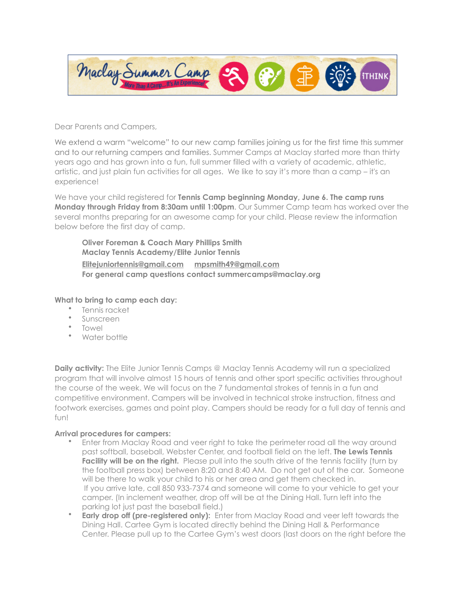

Dear Parents and Campers,

We extend a warm "welcome" to our new camp families joining us for the first time this summer and to our returning campers and families. Summer Camps at Maclay started more than thirty years ago and has grown into a fun, full summer filled with a variety of academic, athletic, artistic, and just plain fun activities for all ages. We like to say it's more than a camp – it's an experience!

We have your child registered for **Tennis Camp beginning Monday, June 6. The camp runs Monday through Friday from 8:30am until 1:00pm**. Our Summer Camp team has worked over the several months preparing for an awesome camp for your child. Please review the information below before the first day of camp.

**Oliver Foreman & Coach Mary Phillips Smith Maclay Tennis Academy/Elite Junior Tennis [Elitejuniortennis@gmail.com](mailto:Elitejuniortennis@gmail.com) [mpsmith49@gmail.com](mailto:mpsmith49@gmail.com) For general camp questions contact summercamps@maclay.org**

## **What to bring to camp each day:**

- Tennis racket
- Sunscreen
- Towel
- Water bottle

**Daily activity:** The Elite Junior Tennis Camps @ Maclay Tennis Academy will run a specialized program that will involve almost 15 hours of tennis and other sport specific activities throughout the course of the week. We will focus on the 7 fundamental strokes of tennis in a fun and competitive environment. Campers will be involved in technical stroke instruction, fitness and footwork exercises, games and point play. Campers should be ready for a full day of tennis and fun!

## **Arrival procedures for campers:**

- Enter from Maclay Road and veer right to take the perimeter road all the way around past softball, baseball, Webster Center, and football field on the left. **The Lewis Tennis Facility will be on the right.** Please pull into the south drive of the tennis facility (turn by the football press box) between 8:20 and 8:40 AM. Do not get out of the car. Someone will be there to walk your child to his or her area and get them checked in. If you arrive late, call 850 933-7374 and someone will come to your vehicle to get your camper. (In inclement weather, drop off will be at the Dining Hall. Turn left into the parking lot just past the baseball field.)
- **Early drop off (pre-registered only):** Enter from Maclay Road and veer left towards the Dining Hall. Cartee Gym is located directly behind the Dining Hall & Performance Center. Please pull up to the Cartee Gym's west doors (last doors on the right before the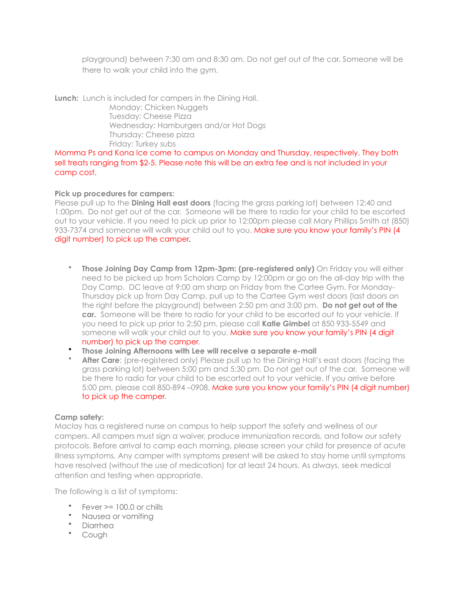playground) between 7:30 am and 8:30 am. Do not get out of the car. Someone will be there to walk your child into the gym.

**Lunch:** Lunch is included for campers in the Dining Hall. Monday: Chicken Nuggets Tuesday: Cheese Pizza Wednesday: Hamburgers and/or Hot Dogs Thursday: Cheese pizza Friday: Turkey subs

Momma Ps and Kona Ice come to campus on Monday and Thursday, respectively. They both sell treats ranging from \$2-5. Please note this will be an extra fee and is not included in your camp cost.

## **Pick up procedures for campers:**

Please pull up to the **Dining Hall east doors** (facing the grass parking lot) between 12:40 and 1:00pm. Do not get out of the car. Someone will be there to radio for your child to be escorted out to your vehicle. If you need to pick up prior to 12:00pm please call Mary Phillips Smith at (850) 933-7374 and someone will walk your child out to you. Make sure you know your family's PIN (4 digit number) to pick up the camper.

- **Those Joining Day Camp from 12pm-3pm: (pre-registered only)** On Friday you will either need to be picked up from Scholars Camp by 12:00pm or go on the all-day trip with the Day Camp. DC leave at 9:00 am sharp on Friday from the Cartee Gym. For Monday-Thursday pick up from Day Camp, pull up to the Cartee Gym west doors (last doors on the right before the playground) between 2:50 pm and 3:00 pm. **Do not get out of the car.** Someone will be there to radio for your child to be escorted out to your vehicle. If you need to pick up prior to 2:50 pm, please call **Katie Gimbel** at 850 933-5549 and someone will walk your child out to you. Make sure you know your family's PIN (4 digit number) to pick up the camper.
- **Those Joining Afternoons with Lee will receive a separate e-mail**
- **After Care**: (pre-registered only) Please pull up to the Dining Hall's east doors (facing the grass parking lot) between 5:00 pm and 5:30 pm. Do not get out of the car. Someone will be there to radio for your child to be escorted out to your vehicle. If you arrive before 5:00 pm, please call 850-894 –0908. Make sure you know your family's PIN (4 digit number) to pick up the camper.

## **Camp safety:**

Maclay has a registered nurse on campus to help support the safety and wellness of our campers. All campers must sign a waiver, produce immunization records, and follow our safety protocols. Before arrival to camp each morning, please screen your child for presence of acute illness symptoms. Any camper with symptoms present will be asked to stay home until symptoms have resolved (without the use of medication) for at least 24 hours. As always, seek medical attention and testing when appropriate.

The following is a list of symptoms:

- Fever >= 100.0 or chills
- Nausea or vomiting
- Diarrhea
- Cough